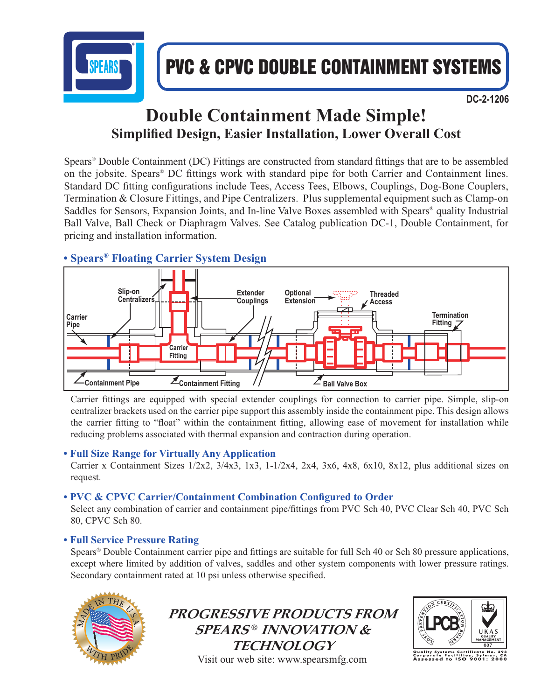

# PVC & CPVC DOUBLE CONTAINMENT SYSTEMS

 **DC-2-1206**

## **Double Containment Made Simple! Simplified Design, Easier Installation, Lower Overall Cost**

Spears® Double Containment (DC) Fittings are constructed from standard fittings that are to be assembled on the jobsite. Spears<sup>®</sup> DC fittings work with standard pipe for both Carrier and Containment lines. Standard DC fitting configurations include Tees, Access Tees, Elbows, Couplings, Dog-Bone Couplers, Termination & Closure Fittings, and Pipe Centralizers. Plus supplemental equipment such as Clamp-on Saddles for Sensors, Expansion Joints, and In-line Valve Boxes assembled with Spears® quality Industrial Ball Valve, Ball Check or Diaphragm Valves. See Catalog publication DC-1, Double Containment, for pricing and installation information.

## **• Spears® Floating Carrier System Design**



Carrier fittings are equipped with special extender couplings for connection to carrier pipe. Simple, slip-on centralizer brackets used on the carrier pipe support this assembly inside the containment pipe. This design allows the carrier fitting to "float" within the containment fitting, allowing ease of movement for installation while reducing problems associated with thermal expansion and contraction during operation.

### **• Full Size Range for Virtually Any Application**

Carrier x Containment Sizes 1/2x2, 3/4x3, 1x3, 1-1/2x4, 2x4, 3x6, 4x8, 6x10, 8x12, plus additional sizes on request.

## **• PVC & CPVC Carrier/Containment Combination Configured to Order**

Select any combination of carrier and containment pipe/fittings from PVC Sch 40, PVC Clear Sch 40, PVC Sch 80, CPVC Sch 80.

### **• Full Service Pressure Rating**

Spears<sup>®</sup> Double Containment carrier pipe and fittings are suitable for full Sch 40 or Sch 80 pressure applications, except where limited by addition of valves, saddles and other system components with lower pressure ratings. Secondary containment rated at 10 psi unless otherwise specified.



**PROGRESSIVE PRODUCTS FROM SPEARS ® INNOVATION & TECHNOLOGY** Visit our web site: www.spearsmfg.com



ificate No. 293<br>is, Sylmar, CA<br>**9001: 2000** ïso